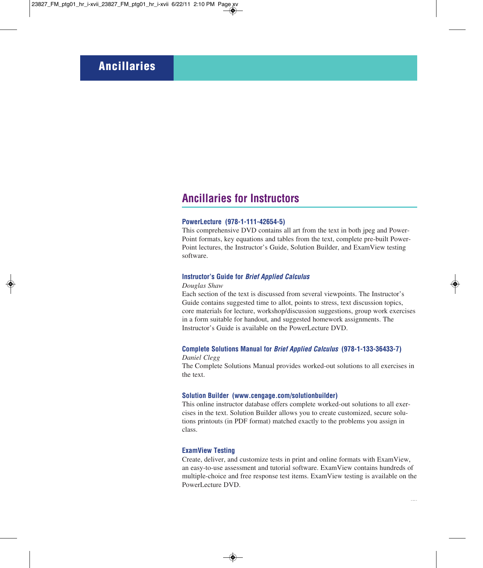# **Ancillaries for Instructors**

#### **PowerLecture (978-1-111-42654-5)**

This comprehensive DVD contains all art from the text in both jpeg and Power-Point formats, key equations and tables from the text, complete pre-built Power-Point lectures, the Instructor's Guide, Solution Builder, and ExamView testing software.

#### **Instructor's Guide for** *Brief Applied Calculus*

#### *Douglas Shaw*

Each section of the text is discussed from several viewpoints. The Instructor's Guide contains suggested time to allot, points to stress, text discussion topics, core materials for lecture, workshop/discussion suggestions, group work exercises in a form suitable for handout, and suggested homework assignments. The Instructor's Guide is available on the PowerLecture DVD.

### **Complete Solutions Manual for** *Brief Applied Calculus* **(978-1-133-36433-7)** *Daniel Clegg*

The Complete Solutions Manual provides worked-out solutions to all exercises in the text.

### **Solution Builder (www.cengage.com/solutionbuilder)**

This online instructor database offers complete worked-out solutions to all exercises in the text. Solution Builder allows you to create customized, secure solutions printouts (in PDF format) matched exactly to the problems you assign in class.

#### **ExamView Testing**

Create, deliver, and customize tests in print and online formats with ExamView, an easy-to-use assessment and tutorial software. ExamView contains hundreds of multiple-choice and free response test items. ExamView testing is available on the PowerLecture DVD.

**x**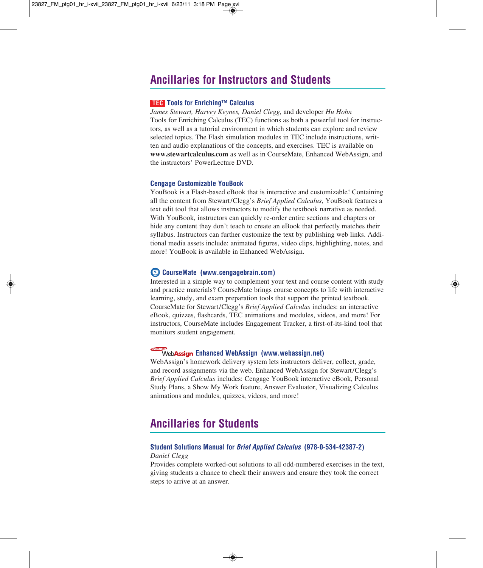# **Ancillaries for Instructors and Students**

#### **Tools for Enriching™ Calculus TEC**

*James Stewart, Harvey Keynes, Daniel Clegg,* and developer *Hu Hohn* Tools for Enriching Calculus (TEC) functions as both a powerful tool for instructors, as well as a tutorial environment in which students can explore and review selected topics. The Flash simulation modules in TEC include instructions, written and audio explanations of the concepts, and exercises. TEC is available on **www.stewartcalculus.com** as well as in CourseMate, Enhanced WebAssign, and the instructors' PowerLecture DVD.

#### **Cengage Customizable YouBook**

YouBook is a Flash-based eBook that is interactive and customizable! Containing all the content from Stewart/Clegg's *Brief Applied Calculus*, YouBook features a text edit tool that allows instructors to modify the textbook narrative as needed. With YouBook, instructors can quickly re-order entire sections and chapters or hide any content they don't teach to create an eBook that perfectly matches their syllabus. Instructors can further customize the text by publishing web links. Additional media assets include: animated figures, video clips, highlighting, notes, and more! YouBook is available in Enhanced WebAssign.

#### **CourseMate (www.cengagebrain.com)**

Interested in a simple way to complement your text and course content with study and practice materials? CourseMate brings course concepts to life with interactive learning, study, and exam preparation tools that support the printed textbook. CourseMate for Stewart/Clegg's *Brief Applied Calculus* includes: an interactive eBook, quizzes, flashcards, TEC animations and modules, videos, and more! For instructors, CourseMate includes Engagement Tracker, a first-of-its-kind tool that monitors student engagement.

#### **Enhanced WebAssign (www.webassign.net)**

WebAssign's homework delivery system lets instructors deliver, collect, grade, and record assignments via the web. Enhanced WebAssign for Stewart/Clegg's *Brief Applied Calculus* includes: Cengage YouBook interactive eBook, Personal Study Plans, a Show My Work feature, Answer Evaluator, Visualizing Calculus animations and modules, quizzes, videos, and more!

# **Ancillaries for Students**

### **Student Solutions Manual for** *Brief Applied Calculus* **(978-0-534-42387-2)** *Daniel Clegg*

Provides complete worked-out solutions to all odd-numbered exercises in the text, giving students a chance to check their answers and ensure they took the correct steps to arrive at an answer.